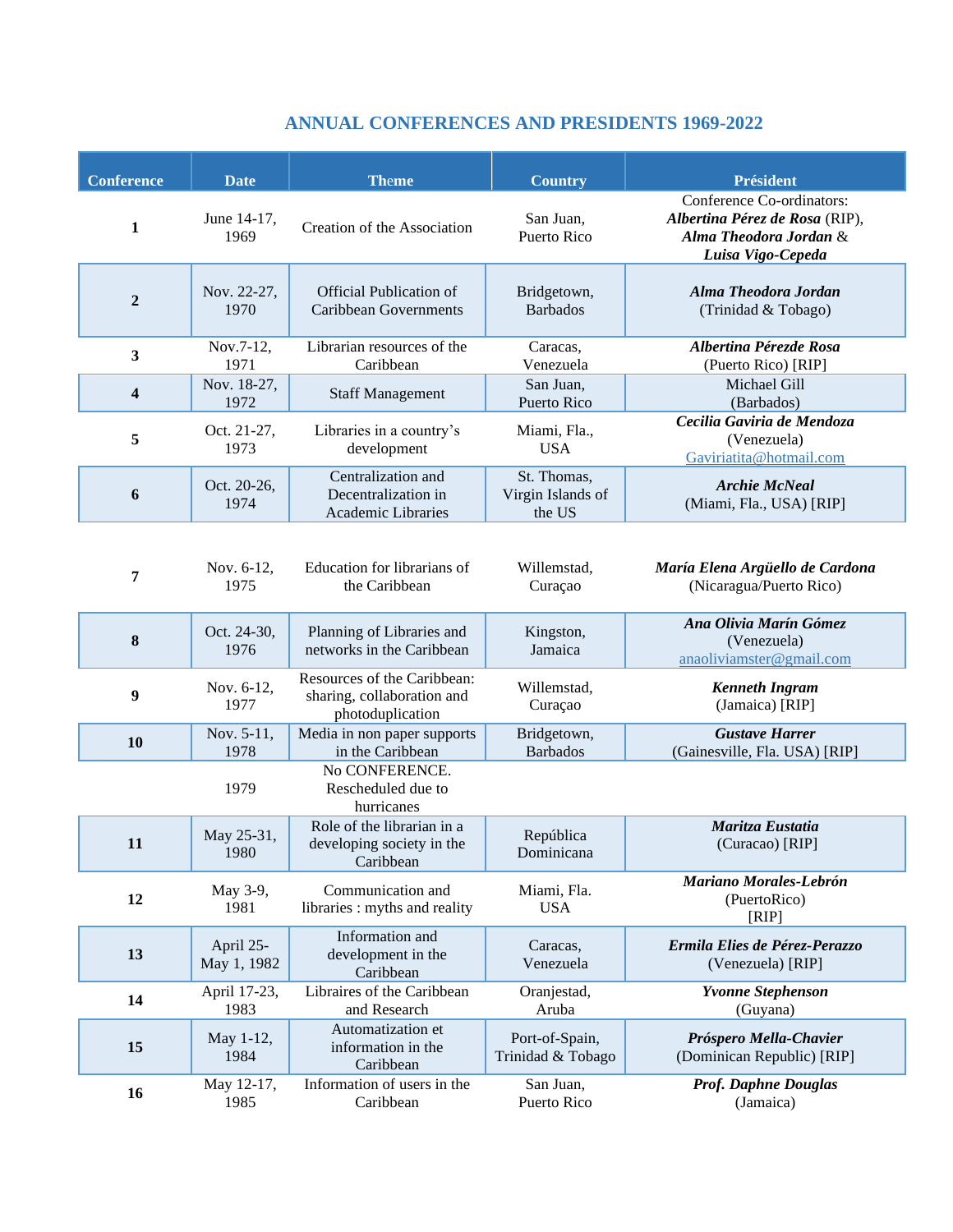## **ANNUAL CONFERENCES AND PRESIDENTS 1969-2022**

| <b>Conference</b>       | <b>Date</b>              | <b>Theme</b>                                                                  | <b>Country</b>                             | <b>Président</b>                                                                                           |
|-------------------------|--------------------------|-------------------------------------------------------------------------------|--------------------------------------------|------------------------------------------------------------------------------------------------------------|
| 1                       | June 14-17,<br>1969      | Creation of the Association                                                   | San Juan,<br><b>Puerto Rico</b>            | Conference Co-ordinators:<br>Albertina Pérez de Rosa (RIP),<br>Alma Theodora Jordan &<br>Luisa Vigo-Cepeda |
| $\overline{2}$          | Nov. 22-27,<br>1970      | <b>Official Publication of</b><br><b>Caribbean Governments</b>                | Bridgetown,<br><b>Barbados</b>             | Alma Theodora Jordan<br>(Trinidad & Tobago)                                                                |
| 3                       | Nov.7-12,<br>1971        | Librarian resources of the<br>Caribbean                                       | Caracas,<br>Venezuela                      | Albertina Pérezde Rosa<br>(Puerto Rico) [RIP]                                                              |
| $\overline{\mathbf{4}}$ | Nov. 18-27,<br>1972      | <b>Staff Management</b>                                                       | San Juan,<br>Puerto Rico                   | Michael Gill<br>(Barbados)                                                                                 |
| 5                       | Oct. 21-27,<br>1973      | Libraries in a country's<br>development                                       | Miami, Fla.,<br><b>USA</b>                 | Cecilia Gaviria de Mendoza<br>(Venezuela)<br>Gaviriatita@hotmail.com                                       |
| 6                       | Oct. 20-26,<br>1974      | Centralization and<br>Decentralization in<br>Academic Libraries               | St. Thomas,<br>Virgin Islands of<br>the US | <b>Archie McNeal</b><br>(Miami, Fla., USA) [RIP]                                                           |
| 7                       | Nov. 6-12,<br>1975       | Education for librarians of<br>the Caribbean                                  | Willemstad,<br>Curaçao                     | María Elena Argüello de Cardona<br>(Nicaragua/Puerto Rico)                                                 |
| 8                       | Oct. 24-30,<br>1976      | Planning of Libraries and<br>networks in the Caribbean                        | Kingston,<br>Jamaica                       | Ana Olivia Marín Gómez<br>(Venezuela)<br>anaoliviamster@gmail.com                                          |
| 9                       | Nov. 6-12,<br>1977       | Resources of the Caribbean:<br>sharing, collaboration and<br>photoduplication | Willemstad,<br>Curaçao                     | <b>Kenneth Ingram</b><br>(Jamaica) [RIP]                                                                   |
| 10                      | Nov. 5-11,<br>1978       | Media in non paper supports<br>in the Caribbean                               | Bridgetown,<br><b>Barbados</b>             | <b>Gustave Harrer</b><br>(Gainesville, Fla. USA) [RIP]                                                     |
|                         | 1979                     | No CONFERENCE.<br>Rescheduled due to<br>hurricanes                            |                                            |                                                                                                            |
| 11                      | May 25-31,<br>1980       | Role of the librarian in a<br>developing society in the<br>Caribbean          | República<br>Dominicana                    | Maritza Eustatia<br>(Curacao) [RIP]                                                                        |
| 12                      | May 3-9,<br>1981         | Communication and<br>libraries : myths and reality                            | Miami, Fla.<br><b>USA</b>                  | Mariano Morales-Lebrón<br>(PuertoRico)<br>[RIP]                                                            |
| 13                      | April 25-<br>May 1, 1982 | Information and<br>development in the<br>Caribbean                            | Caracas,<br>Venezuela                      | Ermila Elies de Pérez-Perazzo<br>(Venezuela) [RIP]                                                         |
| 14                      | April 17-23,<br>1983     | Libraires of the Caribbean<br>and Research                                    | Oranjestad,<br>Aruba                       | <b>Yvonne Stephenson</b><br>(Guyana)                                                                       |
| 15                      | May 1-12,<br>1984        | Automatization et<br>information in the<br>Caribbean                          | Port-of-Spain,<br>Trinidad & Tobago        | Próspero Mella-Chavier<br>(Dominican Republic) [RIP]                                                       |
| 16                      | May 12-17,<br>1985       | Information of users in the<br>Caribbean                                      | San Juan,<br>Puerto Rico                   | <b>Prof. Daphne Douglas</b><br>(Jamaica)                                                                   |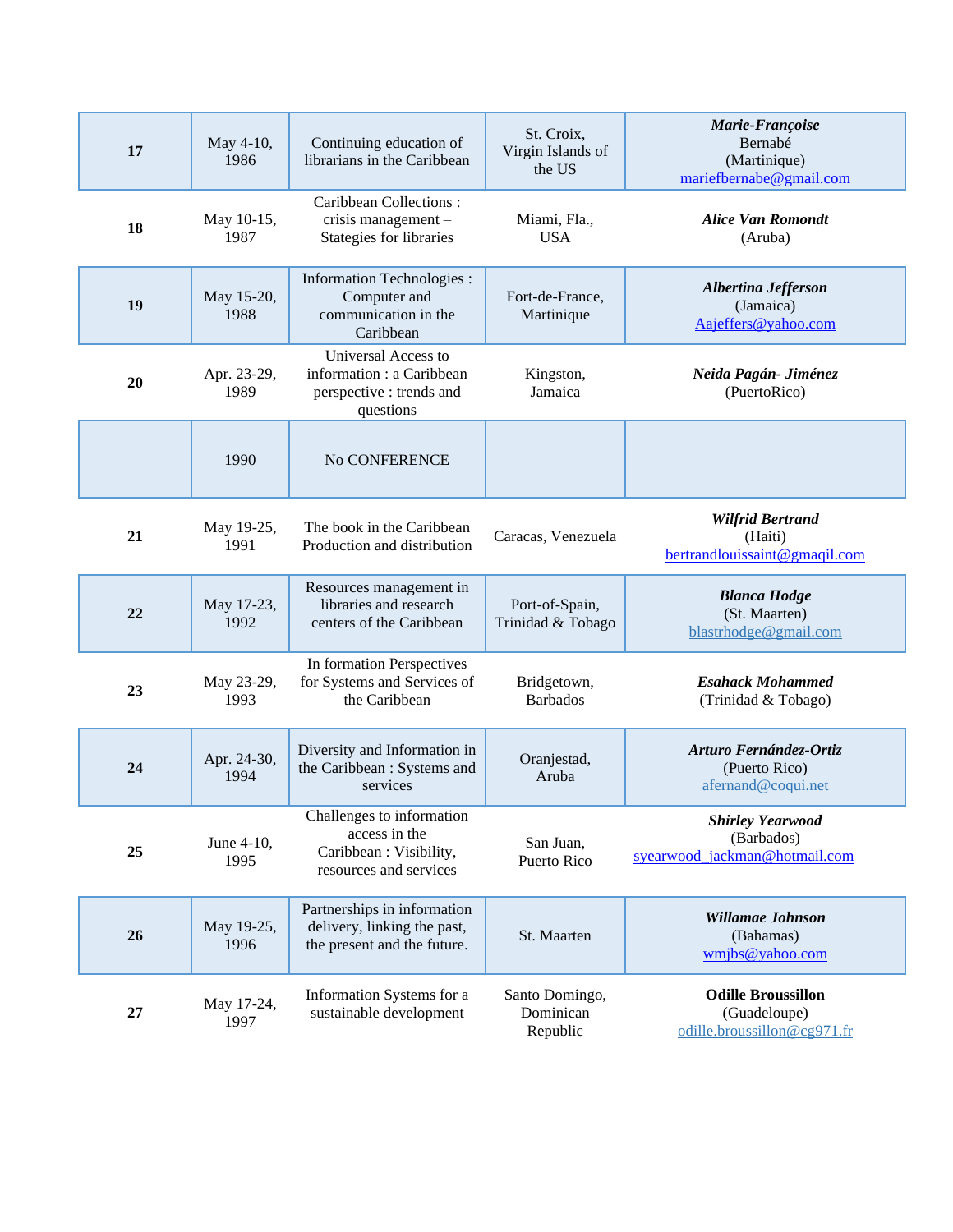| 17 | May 4-10,<br>1986   | Continuing education of<br>librarians in the Caribbean                                          | St. Croix,<br>Virgin Islands of<br>the US | Marie-Françoise<br>Bernabé<br>(Martinique)<br>mariefbernabe@gmail.com    |
|----|---------------------|-------------------------------------------------------------------------------------------------|-------------------------------------------|--------------------------------------------------------------------------|
| 18 | May 10-15,<br>1987  | Caribbean Collections:<br>crisis management $-$<br>Stategies for libraries                      | Miami, Fla.,<br><b>USA</b>                | <b>Alice Van Romondt</b><br>(Aruba)                                      |
| 19 | May 15-20,<br>1988  | <b>Information Technologies:</b><br>Computer and<br>communication in the<br>Caribbean           | Fort-de-France,<br>Martinique             | Albertina Jefferson<br>(Jamaica)<br>Aajeffers@yahoo.com                  |
| 20 | Apr. 23-29,<br>1989 | Universal Access to<br>information : a Caribbean<br>perspective : trends and<br>questions       | Kingston,<br>Jamaica                      | Neida Pagán- Jiménez<br>(PuertoRico)                                     |
|    | 1990                | No CONFERENCE                                                                                   |                                           |                                                                          |
| 21 | May 19-25,<br>1991  | The book in the Caribbean<br>Production and distribution                                        | Caracas, Venezuela                        | <b>Wilfrid Bertrand</b><br>(Haiti)<br>bertrandlouissaint@gmaqil.com      |
| 22 | May 17-23,<br>1992  | Resources management in<br>libraries and research<br>centers of the Caribbean                   | Port-of-Spain,<br>Trinidad & Tobago       | <b>Blanca Hodge</b><br>(St. Maarten)<br>blastrhodge@gmail.com            |
| 23 | May 23-29,<br>1993  | In formation Perspectives<br>for Systems and Services of<br>the Caribbean                       | Bridgetown,<br><b>Barbados</b>            | <b>Esahack Mohammed</b><br>(Trinidad & Tobago)                           |
| 24 | Apr. 24-30,<br>1994 | Diversity and Information in<br>the Caribbean : Systems and<br>services                         | Oranjestad,<br>Aruba                      | Arturo Fernández-Ortiz<br>(Puerto Rico)<br>afernand@coqui.net            |
| 25 | June 4-10,<br>1995  | Challenges to information<br>access in the<br>Caribbean : Visibility,<br>resources and services | San Juan,<br>Puerto Rico                  | <b>Shirley Yearwood</b><br>(Barbados)<br>syearwood jackman@hotmail.com   |
| 26 | May 19-25,<br>1996  | Partnerships in information<br>delivery, linking the past,<br>the present and the future.       | St. Maarten                               | Willamae Johnson<br>(Bahamas)<br>wmjbs@yahoo.com                         |
| 27 | May 17-24,<br>1997  | Information Systems for a<br>sustainable development                                            | Santo Domingo,<br>Dominican<br>Republic   | <b>Odille Broussillon</b><br>(Guadeloupe)<br>odille.broussillon@cg971.fr |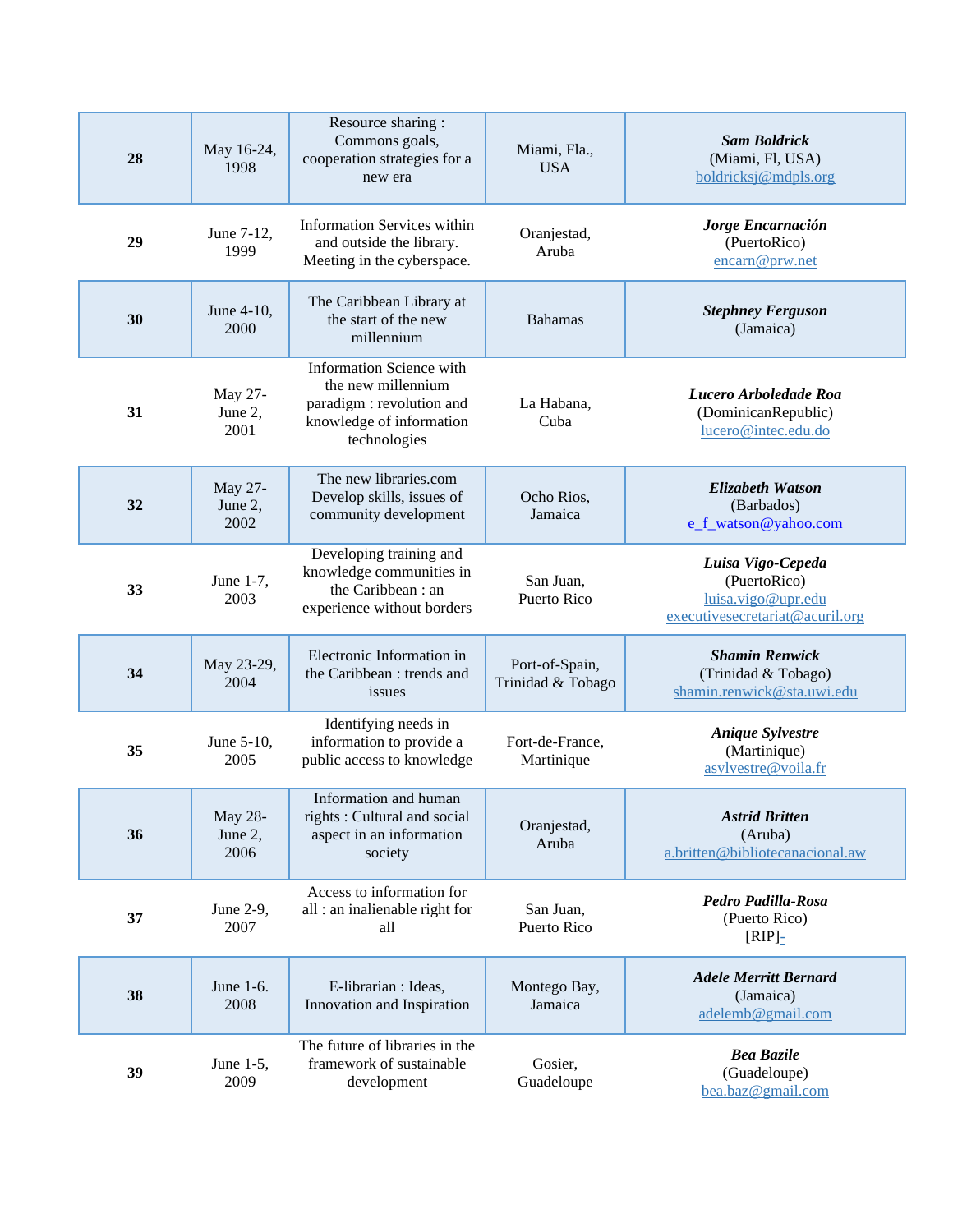| 28 | May 16-24,<br>1998         | Resource sharing :<br>Commons goals,<br>cooperation strategies for a<br>new era                                        | Miami, Fla.,<br><b>USA</b>          | <b>Sam Boldrick</b><br>(Miami, Fl, USA)<br>boldricksj@mdpls.org                            |
|----|----------------------------|------------------------------------------------------------------------------------------------------------------------|-------------------------------------|--------------------------------------------------------------------------------------------|
| 29 | June 7-12,<br>1999         | <b>Information Services within</b><br>and outside the library.<br>Meeting in the cyberspace.                           | Oranjestad,<br>Aruba                | Jorge Encarnación<br>(PuertoRico)<br>encarn@prw.net                                        |
| 30 | June 4-10,<br>2000         | The Caribbean Library at<br>the start of the new<br>millennium                                                         | <b>Bahamas</b>                      | <b>Stephney Ferguson</b><br>(Jamaica)                                                      |
| 31 | May 27-<br>June 2,<br>2001 | Information Science with<br>the new millennium<br>paradigm: revolution and<br>knowledge of information<br>technologies | La Habana,<br>Cuba                  | Lucero Arboledade Roa<br>(DominicanRepublic)<br>lucero@intec.edu.do                        |
| 32 | May 27-<br>June 2,<br>2002 | The new libraries.com<br>Develop skills, issues of<br>community development                                            | Ocho Rios,<br>Jamaica               | Elizabeth Watson<br>(Barbados)<br>e_f_watson@yahoo.com                                     |
| 33 | June 1-7,<br>2003          | Developing training and<br>knowledge communities in<br>the Caribbean: an<br>experience without borders                 | San Juan,<br>Puerto Rico            | Luisa Vigo-Cepeda<br>(PuertoRico)<br>luisa.vigo@upr.edu<br>executivesecretariat@acuril.org |
| 34 | May 23-29,<br>2004         | Electronic Information in<br>the Caribbean : trends and<br>issues                                                      | Port-of-Spain,<br>Trinidad & Tobago | <b>Shamin Renwick</b><br>(Trinidad & Tobago)<br>shamin.renwick@sta.uwi.edu                 |
| 35 | June 5-10,<br>2005         | Identifying needs in<br>information to provide a<br>public access to knowledge                                         | Fort-de-France,<br>Martinique       | <b>Anique Sylvestre</b><br>(Martinique)<br>asylvestre@voila.fr                             |
| 36 | May 28-<br>June 2,<br>2006 | Information and human<br>rights : Cultural and social<br>aspect in an information<br>society                           | Oranjestad,<br>Aruba                | <b>Astrid Britten</b><br>(Aruba)<br>a.britten@bibliotecanacional.aw                        |
| 37 | June 2-9,<br>2007          | Access to information for<br>all : an inalienable right for<br>all                                                     | San Juan,<br><b>Puerto Rico</b>     | Pedro Padilla-Rosa<br>(Puerto Rico)<br>$[RIP]_$                                            |
| 38 | June 1-6.<br>2008          | E-librarian : Ideas,<br>Innovation and Inspiration                                                                     | Montego Bay,<br>Jamaica             | <b>Adele Merritt Bernard</b><br>(Jamaica)<br>adelemb@gmail.com                             |
| 39 | June 1-5,<br>2009          | The future of libraries in the<br>framework of sustainable<br>development                                              | Gosier,<br>Guadeloupe               | <b>Bea Bazile</b><br>(Guadeloupe)<br>bea.baz@gmail.com                                     |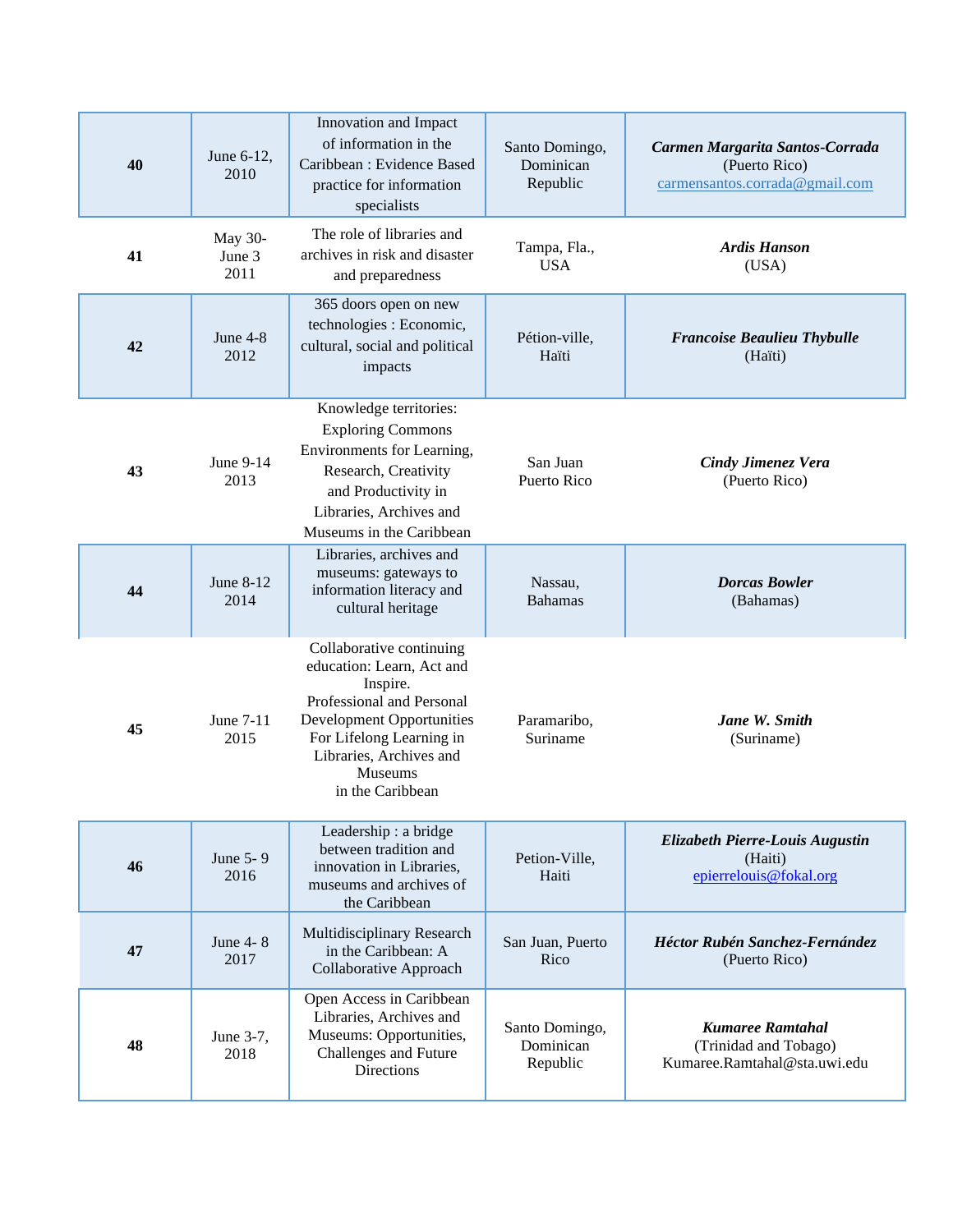| 40 | June 6-12,<br>2010        | Innovation and Impact<br>of information in the<br>Caribbean: Evidence Based<br>practice for information<br>specialists                                                                                                          | Santo Domingo,<br>Dominican<br>Republic | Carmen Margarita Santos-Corrada<br>(Puerto Rico)<br>carmensantos.corrada@gmail.com |
|----|---------------------------|---------------------------------------------------------------------------------------------------------------------------------------------------------------------------------------------------------------------------------|-----------------------------------------|------------------------------------------------------------------------------------|
| 41 | May 30-<br>June 3<br>2011 | The role of libraries and<br>archives in risk and disaster<br>and preparedness                                                                                                                                                  | Tampa, Fla.,<br><b>USA</b>              | <b>Ardis Hanson</b><br>(USA)                                                       |
| 42 | June $4-8$<br>2012        | 365 doors open on new<br>technologies : Economic,<br>cultural, social and political<br>impacts                                                                                                                                  | Pétion-ville,<br>Haïti                  | <b>Francoise Beaulieu Thybulle</b><br>(Haïti)                                      |
| 43 | June 9-14<br>2013         | Knowledge territories:<br><b>Exploring Commons</b><br>Environments for Learning,<br>Research, Creativity<br>and Productivity in<br>Libraries, Archives and<br>Museums in the Caribbean                                          | San Juan<br>Puerto Rico                 | <b>Cindy Jimenez Vera</b><br>(Puerto Rico)                                         |
| 44 | June $8-12$<br>2014       | Libraries, archives and<br>museums: gateways to<br>information literacy and<br>cultural heritage                                                                                                                                | Nassau,<br><b>Bahamas</b>               | <b>Dorcas Bowler</b><br>(Bahamas)                                                  |
| 45 | June 7-11<br>2015         | Collaborative continuing<br>education: Learn, Act and<br>Inspire.<br>Professional and Personal<br><b>Development Opportunities</b><br>For Lifelong Learning in<br>Libraries, Archives and<br><b>Museums</b><br>in the Caribbean | Paramaribo,<br>Suriname                 | Jane W. Smith<br>(Suriname)                                                        |
| 46 | June 5-9<br>2016          | Leadership: a bridge<br>between tradition and<br>innovation in Libraries,<br>museums and archives of<br>the Caribbean                                                                                                           | Petion-Ville,<br>Haiti                  | Elizabeth Pierre-Louis Augustin<br>(Haiti)<br>epierrelouis@fokal.org               |
| 47 | June 4-8<br>2017          | Multidisciplinary Research<br>in the Caribbean: A<br>Collaborative Approach                                                                                                                                                     | San Juan, Puerto<br>Rico                | Héctor Rubén Sanchez-Fernández<br>(Puerto Rico)                                    |
| 48 | June 3-7,<br>2018         | Open Access in Caribbean<br>Libraries, Archives and<br>Museums: Opportunities,<br><b>Challenges and Future</b><br>Directions                                                                                                    | Santo Domingo,<br>Dominican<br>Republic | <b>Kumaree Ramtahal</b><br>(Trinidad and Tobago)<br>Kumaree.Ramtahal@sta.uwi.edu   |